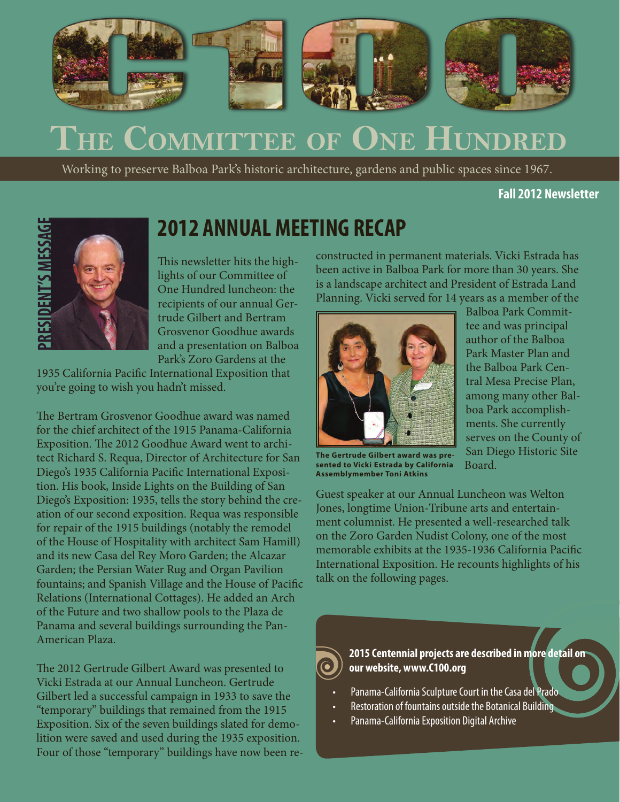

# **The Committee of One Hundred**

Working to preserve Balboa Park's historic architecture, gardens and public spaces since 1967.

**Fall 2012 Newsletter**



### **2012 ANNUAL MEETING RECAP**

This newsletter hits the highlights of our Committee of One Hundred luncheon: the recipients of our annual Gertrude Gilbert and Bertram Grosvenor Goodhue awards and a presentation on Balboa Park's Zoro Gardens at the

1935 California Pacific International Exposition that you're going to wish you hadn't missed.

The Bertram Grosvenor Goodhue award was named for the chief architect of the 1915 Panama-California Exposition. The 2012 Goodhue Award went to architect Richard S. Requa, Director of Architecture for San Diego's 1935 California Pacific International Exposition. His book, Inside Lights on the Building of San Diego's Exposition: 1935, tells the story behind the creation of our second exposition. Requa was responsible for repair of the 1915 buildings (notably the remodel of the House of Hospitality with architect Sam Hamill) and its new Casa del Rey Moro Garden; the Alcazar Garden; the Persian Water Rug and Organ Pavilion fountains; and Spanish Village and the House of Pacific Relations (International Cottages). He added an Arch of the Future and two shallow pools to the Plaza de Panama and several buildings surrounding the Pan-American Plaza.

The 2012 Gertrude Gilbert Award was presented to Vicki Estrada at our Annual Luncheon. Gertrude Gilbert led a successful campaign in 1933 to save the "temporary" buildings that remained from the 1915 Exposition. Six of the seven buildings slated for demolition were saved and used during the 1935 exposition. Four of those "temporary" buildings have now been reconstructed in permanent materials. Vicki Estrada has been active in Balboa Park for more than 30 years. She is a landscape architect and President of Estrada Land Planning. Vicki served for 14 years as a member of the



Balboa Park Committee and was principal author of the Balboa Park Master Plan and the Balboa Park Central Mesa Precise Plan, among many other Balboa Park accomplishments. She currently serves on the County of San Diego Historic Site Board.

**The Gertrude Gilbert award was presented to Vicki Estrada by California Assemblymember Toni Atkins**

Guest speaker at our Annual Luncheon was Welton Jones, longtime Union-Tribune arts and entertainment columnist. He presented a well-researched talk on the Zoro Garden Nudist Colony, one of the most memorable exhibits at the 1935-1936 California Pacific International Exposition. He recounts highlights of his talk on the following pages.

**2015 Centennial projects are described in more detail on our website, www.C100.org**

- Panama-California Sculpture Court in the Casa del Prado
- Restoration of fountains outside the Botanical Building
- Panama-California Exposition Digital Archive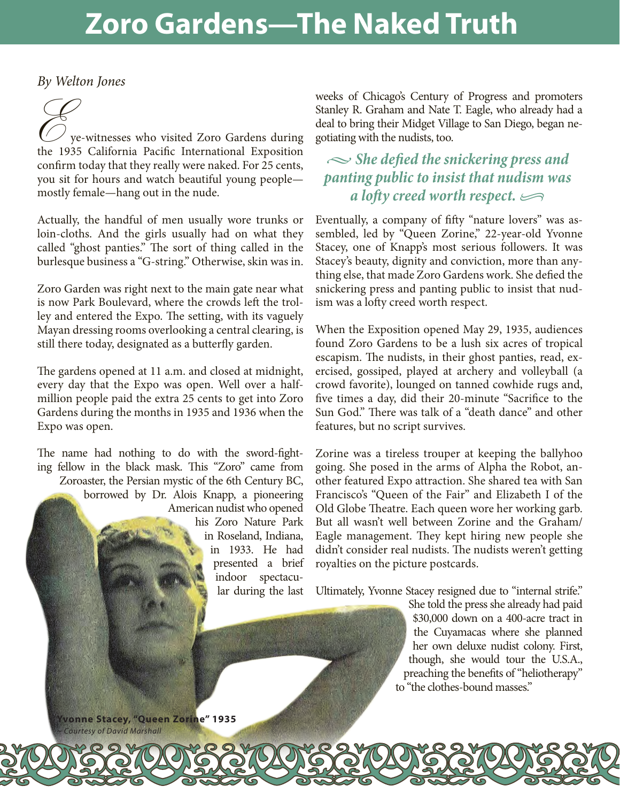# **Zoro Gardens—The Naked Truth**

*By Welton Jones*

By Welton Jones<br>
Francisco Control of the Vie-witnesses who visited Zoro Gardens during<br>
the 1935 California Pacific International Exposition confirm today that they really were naked. For 25 cents, you sit for hours and watch beautiful young people mostly female—hang out in the nude.

Actually, the handful of men usually wore trunks or loin-cloths. And the girls usually had on what they called "ghost panties." The sort of thing called in the burlesque business a "G-string." Otherwise, skin was in.

Zoro Garden was right next to the main gate near what is now Park Boulevard, where the crowds left the trolley and entered the Expo. The setting, with its vaguely Mayan dressing rooms overlooking a central clearing, is still there today, designated as a butterfly garden.

The gardens opened at 11 a.m. and closed at midnight, every day that the Expo was open. Well over a halfmillion people paid the extra 25 cents to get into Zoro Gardens during the months in 1935 and 1936 when the Expo was open.

The name had nothing to do with the sword-fighting fellow in the black mask. This "Zoro" came from Zoroaster, the Persian mystic of the 6th Century BC, borrowed by Dr. Alois Knapp, a pioneering American nudist who opened his Zoro Nature Park in Roseland, Indiana, in 1933. He had presented a brief indoor spectacular during the last weeks of Chicago's Century of Progress and promoters Stanley R. Graham and Nate T. Eagle, who already had a deal to bring their Midget Village to San Diego, began negotiating with the nudists, too.

#### *• She defied the snickering press and panting public to insist that nudism was a lofty creed worth respect. •*

Eventually, a company of fifty "nature lovers" was assembled, led by "Queen Zorine," 22-year-old Yvonne Stacey, one of Knapp's most serious followers. It was Stacey's beauty, dignity and conviction, more than anything else, that made Zoro Gardens work. She defied the snickering press and panting public to insist that nudism was a lofty creed worth respect.

When the Exposition opened May 29, 1935, audiences found Zoro Gardens to be a lush six acres of tropical escapism. The nudists, in their ghost panties, read, exercised, gossiped, played at archery and volleyball (a crowd favorite), lounged on tanned cowhide rugs and, five times a day, did their 20-minute "Sacrifice to the Sun God." There was talk of a "death dance" and other features, but no script survives.

Zorine was a tireless trouper at keeping the ballyhoo going. She posed in the arms of Alpha the Robot, another featured Expo attraction. She shared tea with San Francisco's "Queen of the Fair" and Elizabeth I of the Old Globe Theatre. Each queen wore her working garb. But all wasn't well between Zorine and the Graham/ Eagle management. They kept hiring new people she didn't consider real nudists. The nudists weren't getting royalties on the picture postcards.

Ultimately, Yvonne Stacey resigned due to "internal strife."

She told the press she already had paid \$30,000 down on a 400-acre tract in the Cuyamacas where she planned her own deluxe nudist colony. First, though, she would tour the U.S.A., preaching the benefits of "heliotherapy" to "the clothes-bound masses."

**Yvonne Stacey, "Queen Zorine" 1935** *Courtesy of David Marshall*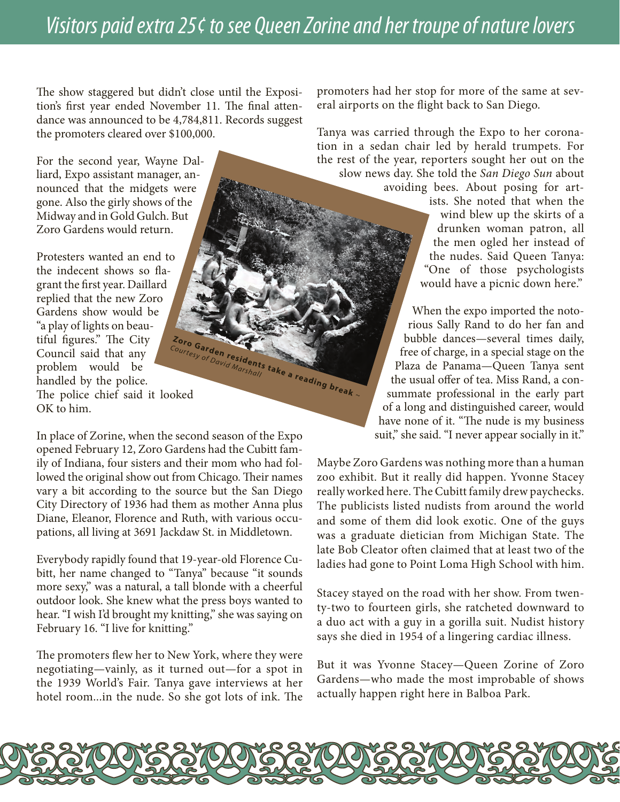### *Visitors paid extra 25¢ to see Queen Zorine and her troupe of nature lovers*

The show staggered but didn't close until the Exposition's first year ended November 11. The final attendance was announced to be 4,784,811. Records suggest the promoters cleared over \$100,000.

For the second year, Wayne Dalliard, Expo assistant manager, announced that the midgets were gone. Also the girly shows of the Midway and in Gold Gulch. But Zoro Gardens would return.

Protesters wanted an end to the indecent shows so flagrant the first year. Daillard replied that the new Zoro Gardens show would be "a play of lights on beautiful figures." The City Council said that any problem would be handled by the police. The police chief said it looked OK to him. Zoro Garden residents take a reading break ~<br>*David Marshall* take a reading break ~ *Courtesy of David Marshall*

In place of Zorine, when the second season of the Expo opened February 12, Zoro Gardens had the Cubitt family of Indiana, four sisters and their mom who had followed the original show out from Chicago. Their names vary a bit according to the source but the San Diego City Directory of 1936 had them as mother Anna plus Diane, Eleanor, Florence and Ruth, with various occupations, all living at 3691 Jackdaw St. in Middletown.

Everybody rapidly found that 19-year-old Florence Cubitt, her name changed to "Tanya" because "it sounds more sexy," was a natural, a tall blonde with a cheerful outdoor look. She knew what the press boys wanted to hear. "I wish I'd brought my knitting," she was saying on February 16. "I live for knitting."

The promoters flew her to New York, where they were negotiating—vainly, as it turned out—for a spot in the 1939 World's Fair. Tanya gave interviews at her hotel room...in the nude. So she got lots of ink. The promoters had her stop for more of the same at several airports on the flight back to San Diego.

Tanya was carried through the Expo to her coronation in a sedan chair led by herald trumpets. For the rest of the year, reporters sought her out on the slow news day. She told the *San Diego Sun* about

avoiding bees. About posing for artists. She noted that when the wind blew up the skirts of a drunken woman patron, all the men ogled her instead of the nudes. Said Queen Tanya: "One of those psychologists would have a picnic down here."

When the expo imported the notorious Sally Rand to do her fan and bubble dances—several times daily, free of charge, in a special stage on the Plaza de Panama—Queen Tanya sent the usual offer of tea. Miss Rand, a consummate professional in the early part of a long and distinguished career, would have none of it. "The nude is my business suit," she said. "I never appear socially in it."

Maybe Zoro Gardens was nothing more than a human zoo exhibit. But it really did happen. Yvonne Stacey really worked here. The Cubitt family drew paychecks. The publicists listed nudists from around the world and some of them did look exotic. One of the guys was a graduate dietician from Michigan State. The late Bob Cleator often claimed that at least two of the ladies had gone to Point Loma High School with him.

Stacey stayed on the road with her show. From twenty-two to fourteen girls, she ratcheted downward to a duo act with a guy in a gorilla suit. Nudist history says she died in 1954 of a lingering cardiac illness.

But it was Yvonne Stacey—Queen Zorine of Zoro Gardens—who made the most improbable of shows actually happen right here in Balboa Park.